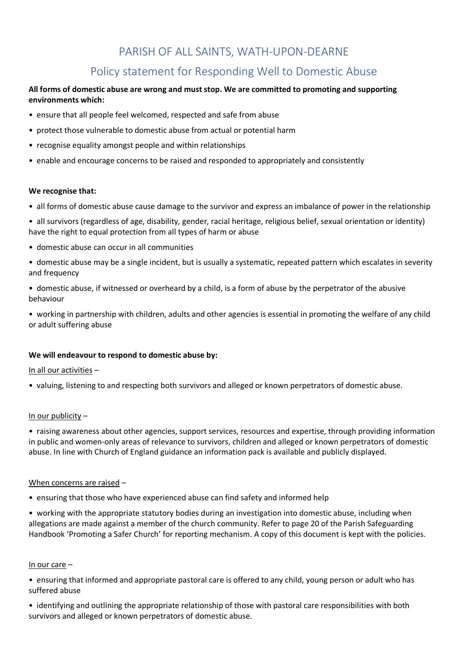# PARISH OF ALL SAINTS, WATH-UPON-DEARNE

# Policy statement for Responding Well to Domestic Abuse

# **All forms of domestic abuse are wrong and must stop. We are committed to promoting and supporting environments which:**

- ensure that all people feel welcomed, respected and safe from abuse
- protect those vulnerable to domestic abuse from actual or potential harm
- recognise equality amongst people and within relationships
- enable and encourage concerns to be raised and responded to appropriately and consistently

### **We recognise that:**

• all forms of domestic abuse cause damage to the survivor and express an imbalance of power in the relationship

• all survivors (regardless of age, disability, gender, racial heritage, religious belief, sexual orientation or identity) have the right to equal protection from all types of harm or abuse

- domestic abuse can occur in all communities
- domestic abuse may be a single incident, but is usually a systematic, repeated pattern which escalates in severity and frequency
- domestic abuse, if witnessed or overheard by a child, is a form of abuse by the perpetrator of the abusive behaviour

• working in partnership with children, adults and other agencies is essential in promoting the welfare of any child or adult suffering abuse

# **We will endeavour to respond to domestic abuse by:**

### In all our activities –

• valuing, listening to and respecting both survivors and alleged or known perpetrators of domestic abuse.

### In our publicity –

• raising awareness about other agencies, support services, resources and expertise, through providing information in public and women-only areas of relevance to survivors, children and alleged or known perpetrators of domestic abuse. In line with Church of England guidance an information pack is available and publicly displayed.

### When concerns are raised –

• ensuring that those who have experienced abuse can find safety and informed help

• working with the appropriate statutory bodies during an investigation into domestic abuse, including when allegations are made against a member of the church community. Refer to page 20 of the Parish Safeguarding Handbook 'Promoting a Safer Church' for reporting mechanism. A copy of this document is kept with the policies.

### In our care –

• ensuring that informed and appropriate pastoral care is offered to any child, young person or adult who has suffered abuse

• identifying and outlining the appropriate relationship of those with pastoral care responsibilities with both survivors and alleged or known perpetrators of domestic abuse.